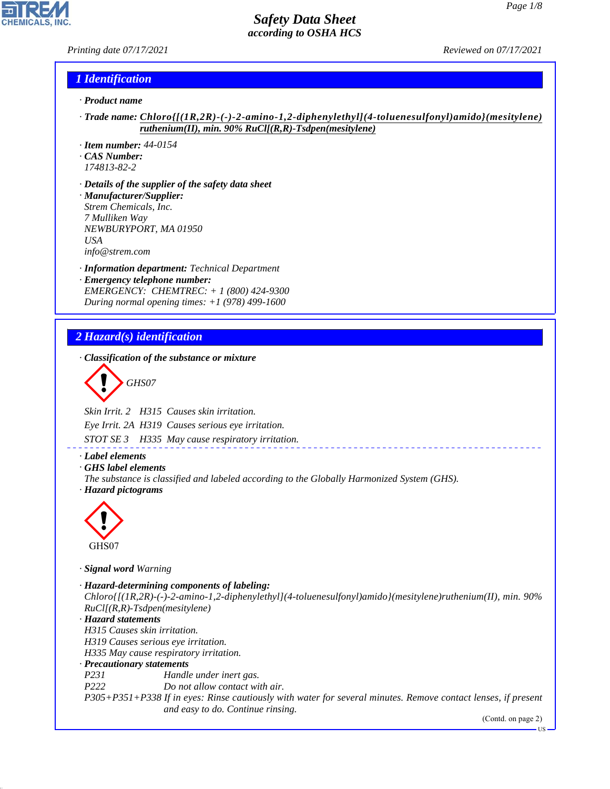*Printing date 07/17/2021 Reviewed on 07/17/2021*

#### *1 Identification*

- *· Product name*
- *· Trade name: Chloro{[(1R,2R)-(-)-2-amino-1,2-diphenylethyl](4-toluenesulfonyl)amido}(mesitylene) ruthenium(II), min. 90% RuCl[(R,R)-Tsdpen(mesitylene)*
- *· Item number: 44-0154*
- *· CAS Number: 174813-82-2*
- *· Details of the supplier of the safety data sheet · Manufacturer/Supplier: Strem Chemicals, Inc. 7 Mulliken Way NEWBURYPORT, MA 01950 USA*
- *info@strem.com*
- *· Information department: Technical Department · Emergency telephone number: EMERGENCY: CHEMTREC: + 1 (800) 424-9300 During normal opening times: +1 (978) 499-1600*

# *2 Hazard(s) identification*

*· Classification of the substance or mixture*

$$
\bigotimes \mathrm{GH}S07
$$

*Skin Irrit. 2 H315 Causes skin irritation.*

*Eye Irrit. 2A H319 Causes serious eye irritation.*

*STOT SE 3 H335 May cause respiratory irritation.*

#### *· Label elements*

- *· GHS label elements*
- *The substance is classified and labeled according to the Globally Harmonized System (GHS). · Hazard pictograms*



GHS07

44.1.1

*· Signal word Warning*

```
· Hazard-determining components of labeling:
Chloro{[(1R,2R)-(-)-2-amino-1,2-diphenylethyl](4-toluenesulfonyl)amido}(mesitylene)ruthenium(II), min. 90%
RuCl[(R,R)-Tsdpen(mesitylene)
· Hazard statements
H315 Causes skin irritation.
H319 Causes serious eye irritation.
H335 May cause respiratory irritation.
· Precautionary statements
P231 Handle under inert gas.
P222 Do not allow contact with air.
P305+P351+P338 If in eyes: Rinse cautiously with water for several minutes. Remove contact lenses, if present
                   and easy to do. Continue rinsing.
                                                                                            (Contd. on page 2)
```
US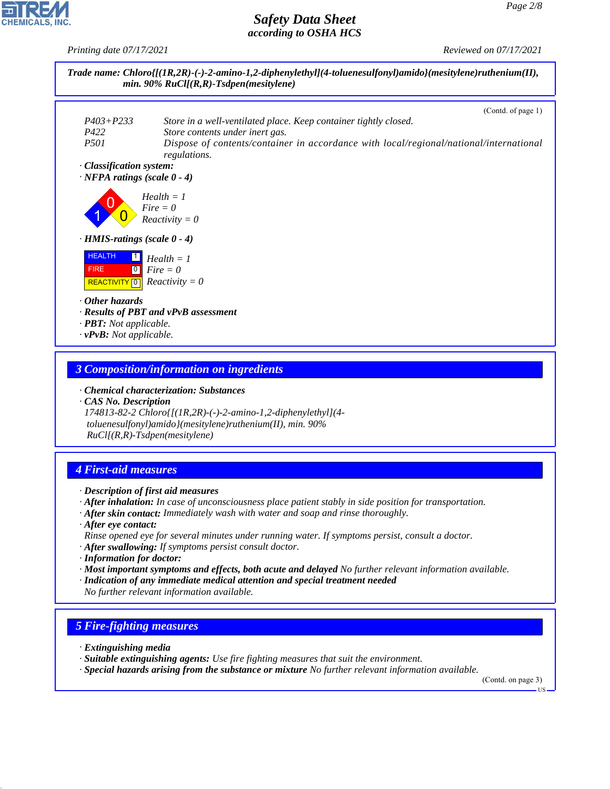*Printing date 07/17/2021 Reviewed on 07/17/2021*



#### *3 Composition/information on ingredients*

*· Chemical characterization: Substances*

*· CAS No. Description 174813-82-2 Chloro{[(1R,2R)-(-)-2-amino-1,2-diphenylethyl](4 toluenesulfonyl)amido}(mesitylene)ruthenium(II), min. 90% RuCl[(R,R)-Tsdpen(mesitylene)*

# *4 First-aid measures*

- *· Description of first aid measures*
- *· After inhalation: In case of unconsciousness place patient stably in side position for transportation.*
- *· After skin contact: Immediately wash with water and soap and rinse thoroughly.*
- *· After eye contact: Rinse opened eye for several minutes under running water. If symptoms persist, consult a doctor.*
- *· After swallowing: If symptoms persist consult doctor.*
- *· Information for doctor:*
- *· Most important symptoms and effects, both acute and delayed No further relevant information available.*
- *· Indication of any immediate medical attention and special treatment needed No further relevant information available.*

#### *5 Fire-fighting measures*

*· Extinguishing media*

44.1.1

- *· Suitable extinguishing agents: Use fire fighting measures that suit the environment.*
- *· Special hazards arising from the substance or mixture No further relevant information available.*

(Contd. on page 3)

US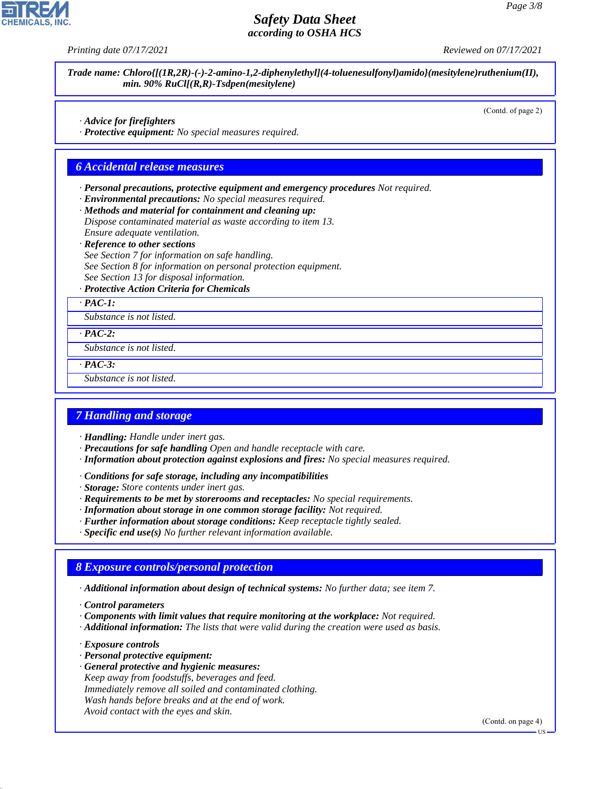*Printing date 07/17/2021 Reviewed on 07/17/2021*

| · Advice for firefighters<br>Dispose contaminated material as waste according to item 13.<br>Ensure adequate ventilation.<br>See Section 7 for information on safe handling.<br>See Section 8 for information on personal protection equipment.<br>See Section 13 for disposal information.<br>Substance is not listed.<br>Substance is not listed. |                                                       | (Contd. of page 2) |
|-----------------------------------------------------------------------------------------------------------------------------------------------------------------------------------------------------------------------------------------------------------------------------------------------------------------------------------------------------|-------------------------------------------------------|--------------------|
| <b>6 Accidental release measures</b><br>· Reference to other sections                                                                                                                                                                                                                                                                               | · Protective equipment: No special measures required. |                    |
| · Environmental precautions: No special measures required.<br>· Methods and material for containment and cleaning up:<br>· Protective Action Criteria for Chemicals<br>$\cdot$ PAC-1:<br>$\cdot$ PAC-2:                                                                                                                                             |                                                       |                    |
| · Personal precautions, protective equipment and emergency procedures Not required.                                                                                                                                                                                                                                                                 |                                                       |                    |
|                                                                                                                                                                                                                                                                                                                                                     |                                                       |                    |
|                                                                                                                                                                                                                                                                                                                                                     |                                                       |                    |
|                                                                                                                                                                                                                                                                                                                                                     |                                                       |                    |
|                                                                                                                                                                                                                                                                                                                                                     |                                                       |                    |
|                                                                                                                                                                                                                                                                                                                                                     |                                                       |                    |
|                                                                                                                                                                                                                                                                                                                                                     |                                                       |                    |
|                                                                                                                                                                                                                                                                                                                                                     |                                                       |                    |
|                                                                                                                                                                                                                                                                                                                                                     |                                                       |                    |
|                                                                                                                                                                                                                                                                                                                                                     |                                                       |                    |
|                                                                                                                                                                                                                                                                                                                                                     |                                                       |                    |
|                                                                                                                                                                                                                                                                                                                                                     |                                                       |                    |
|                                                                                                                                                                                                                                                                                                                                                     |                                                       |                    |
|                                                                                                                                                                                                                                                                                                                                                     |                                                       |                    |
|                                                                                                                                                                                                                                                                                                                                                     |                                                       |                    |
|                                                                                                                                                                                                                                                                                                                                                     | $PAC-3$ :                                             |                    |

#### *7 Handling and storage*

- *· Handling: Handle under inert gas.*
- *· Precautions for safe handling Open and handle receptacle with care.*
- *· Information about protection against explosions and fires: No special measures required.*
- *· Conditions for safe storage, including any incompatibilities*
- *· Storage: Store contents under inert gas.*
- *· Requirements to be met by storerooms and receptacles: No special requirements.*
- *· Information about storage in one common storage facility: Not required.*
- *· Further information about storage conditions: Keep receptacle tightly sealed.*
- *· Specific end use(s) No further relevant information available.*

#### *8 Exposure controls/personal protection*

- *· Additional information about design of technical systems: No further data; see item 7.*
- *· Control parameters*
- *· Components with limit values that require monitoring at the workplace: Not required.*
- *· Additional information: The lists that were valid during the creation were used as basis.*
- *· Exposure controls*

44.1.1

**CHEMICALS.** 

- *· Personal protective equipment:*
- *· General protective and hygienic measures: Keep away from foodstuffs, beverages and feed. Immediately remove all soiled and contaminated clothing. Wash hands before breaks and at the end of work. Avoid contact with the eyes and skin.*

(Contd. on page 4)

US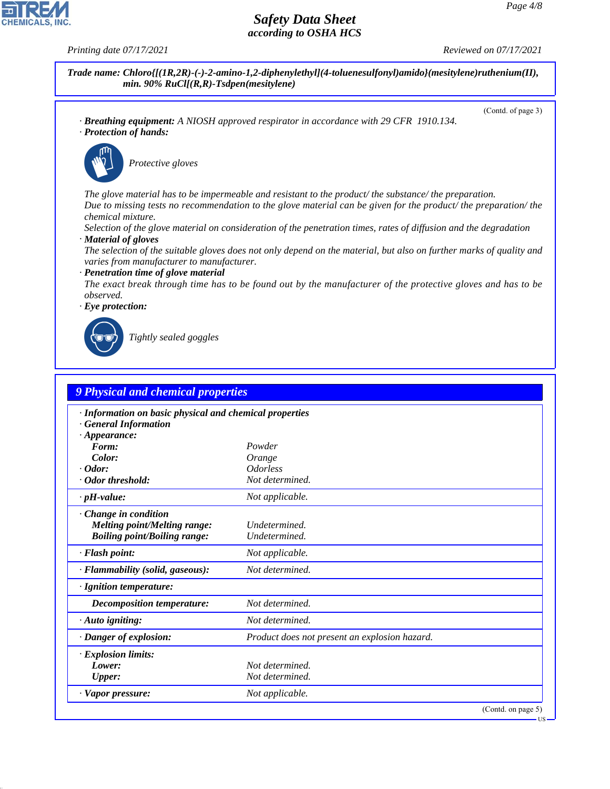**CHEMICALS, INC** 

44.1.1



| <b>9 Physical and chemical properties</b>                                                                    |                                               |                    |
|--------------------------------------------------------------------------------------------------------------|-----------------------------------------------|--------------------|
| · Information on basic physical and chemical properties<br><b>General Information</b><br>$\cdot$ Appearance: |                                               |                    |
| Form:                                                                                                        | Powder                                        |                    |
| Color:                                                                                                       | Orange                                        |                    |
| $\cdot$ Odor:                                                                                                | <i><u><b>Odorless</b></u></i>                 |                    |
| · Odor threshold:                                                                                            | Not determined.                               |                    |
| $\cdot$ pH-value:                                                                                            | Not applicable.                               |                    |
| · Change in condition<br><b>Melting point/Melting range:</b><br><b>Boiling point/Boiling range:</b>          | Undetermined.<br>Undetermined.                |                    |
| · Flash point:                                                                                               | Not applicable.                               |                    |
| · Flammability (solid, gaseous):                                                                             | Not determined.                               |                    |
| $\cdot$ Ignition temperature:                                                                                |                                               |                    |
| Decomposition temperature:                                                                                   | Not determined.                               |                    |
| $\cdot$ Auto igniting:                                                                                       | Not determined.                               |                    |
| · Danger of explosion:                                                                                       | Product does not present an explosion hazard. |                    |
| $\cdot$ Explosion limits:                                                                                    |                                               |                    |
| Lower:                                                                                                       | Not determined.                               |                    |
| <b>Upper:</b>                                                                                                | Not determined.                               |                    |
| · Vapor pressure:                                                                                            | Not applicable.                               |                    |
|                                                                                                              |                                               | (Contd. on page 5) |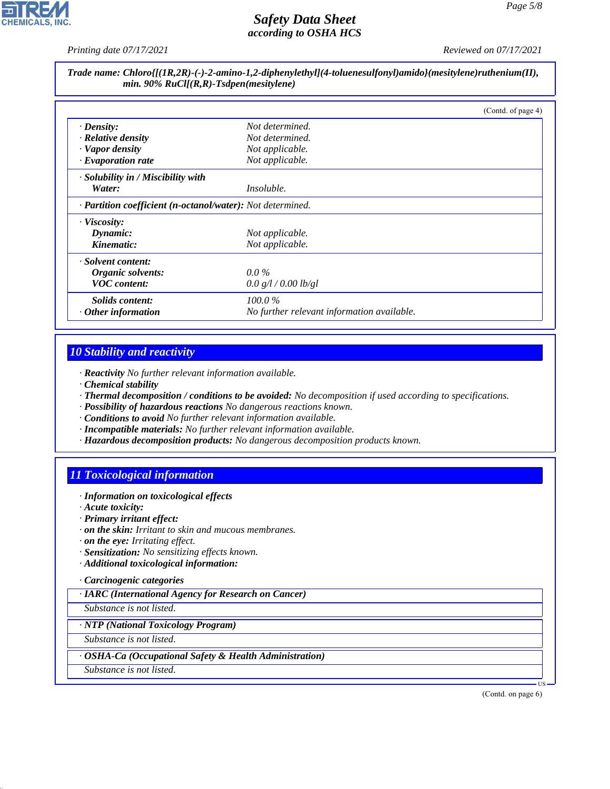*Printing date 07/17/2021 Reviewed on 07/17/2021*

|                                           | Trade name: Chloro{[(1R,2R)-(-)-2-amino-1,2-diphenylethyl](4-toluenesulfonyl)amido}(mesitylene)ruthenium(II), |
|-------------------------------------------|---------------------------------------------------------------------------------------------------------------|
| min. 90% $RuCl[(R,R)-Tsdpen(mesitylene)]$ |                                                                                                               |

|                                                            |                                            | (Contd. of page 4) |
|------------------------------------------------------------|--------------------------------------------|--------------------|
| $\cdot$ Density:                                           | Not determined.                            |                    |
| $\cdot$ Relative density                                   | Not determined.                            |                    |
| · Vapor density                                            | Not applicable.                            |                    |
| · Evaporation rate                                         | Not applicable.                            |                    |
| $\cdot$ Solubility in / Miscibility with                   |                                            |                    |
| Water:                                                     | <i>Insoluble.</i>                          |                    |
| · Partition coefficient (n-octanol/water): Not determined. |                                            |                    |
| $\cdot$ Viscosity:                                         |                                            |                    |
| Dynamic:                                                   | Not applicable.                            |                    |
| Kinematic:                                                 | Not applicable.                            |                    |
| · Solvent content:                                         |                                            |                    |
| Organic solvents:                                          | $0.0\%$                                    |                    |
| <b>VOC</b> content:                                        | 0.0 g/l / 0.00 lb/gl                       |                    |
| Solids content:                                            | 100.0%                                     |                    |
| $\cdot$ Other information                                  | No further relevant information available. |                    |

#### *10 Stability and reactivity*

*· Reactivity No further relevant information available.*

- *· Chemical stability*
- *· Thermal decomposition / conditions to be avoided: No decomposition if used according to specifications.*
- *· Possibility of hazardous reactions No dangerous reactions known.*
- *· Conditions to avoid No further relevant information available.*
- *· Incompatible materials: No further relevant information available.*
- *· Hazardous decomposition products: No dangerous decomposition products known.*

# *11 Toxicological information*

- *· Information on toxicological effects*
- *· Acute toxicity:*
- *· Primary irritant effect:*
- *· on the skin: Irritant to skin and mucous membranes.*
- *· on the eye: Irritating effect.*
- *· Sensitization: No sensitizing effects known.*
- *· Additional toxicological information:*

#### *· Carcinogenic categories*

*· IARC (International Agency for Research on Cancer)*

*Substance is not listed.*

#### *· NTP (National Toxicology Program)*

*Substance is not listed.*

#### *· OSHA-Ca (Occupational Safety & Health Administration)*

*Substance is not listed.*

44.1.1

(Contd. on page 6)

US

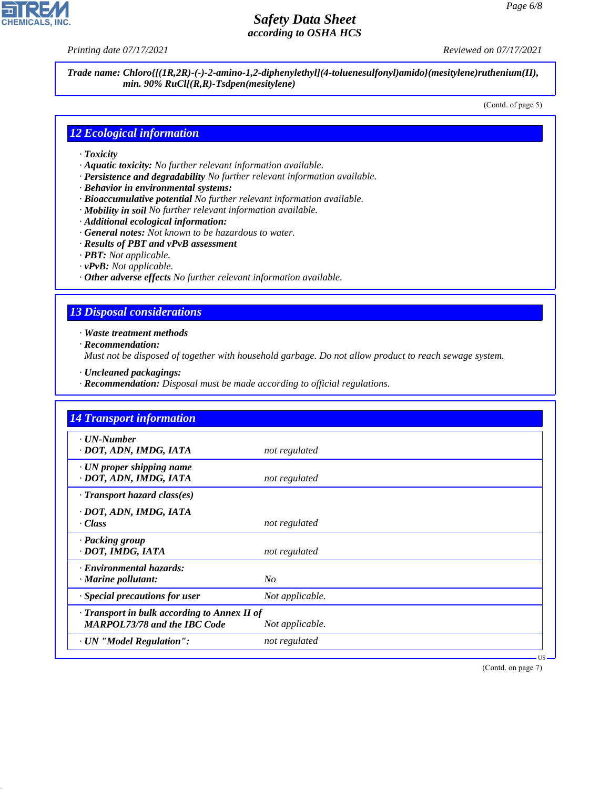**CHEMICALS, INC** 

*Printing date 07/17/2021 Reviewed on 07/17/2021*

*Trade name: Chloro{[(1R,2R)-(-)-2-amino-1,2-diphenylethyl](4-toluenesulfonyl)amido}(mesitylene)ruthenium(II), min. 90% RuCl[(R,R)-Tsdpen(mesitylene)*

(Contd. of page 5)

#### *12 Ecological information*

- *· Toxicity*
- *· Aquatic toxicity: No further relevant information available.*
- *· Persistence and degradability No further relevant information available.*
- *· Behavior in environmental systems:*
- *· Bioaccumulative potential No further relevant information available.*
- *· Mobility in soil No further relevant information available.*
- *· Additional ecological information:*
- *· General notes: Not known to be hazardous to water.*
- *· Results of PBT and vPvB assessment*
- *· PBT: Not applicable.*
- *· vPvB: Not applicable.*
- *· Other adverse effects No further relevant information available.*

### *13 Disposal considerations*

*· Waste treatment methods*

*· Recommendation:*

44.1.1

*Must not be disposed of together with household garbage. Do not allow product to reach sewage system.*

- *· Uncleaned packagings:*
- *· Recommendation: Disposal must be made according to official regulations.*

| <b>14 Transport information</b>                                                           |                 |
|-------------------------------------------------------------------------------------------|-----------------|
| · UN-Number<br>· DOT, ADN, IMDG, IATA                                                     | not regulated   |
| $\cdot$ UN proper shipping name<br>· DOT, ADN, IMDG, IATA                                 | not regulated   |
| $\cdot$ Transport hazard class(es)                                                        |                 |
| · DOT, ADN, IMDG, IATA<br>· Class                                                         | not regulated   |
| · Packing group<br>· DOT, IMDG, IATA                                                      | not regulated   |
| · Environmental hazards:<br>$\cdot$ Marine pollutant:                                     | N <sub>O</sub>  |
| · Special precautions for user                                                            | Not applicable. |
| $\cdot$ Transport in bulk according to Annex II of<br><b>MARPOL73/78 and the IBC Code</b> | Not applicable. |
| · UN "Model Regulation":                                                                  | not regulated   |

(Contd. on page 7)

US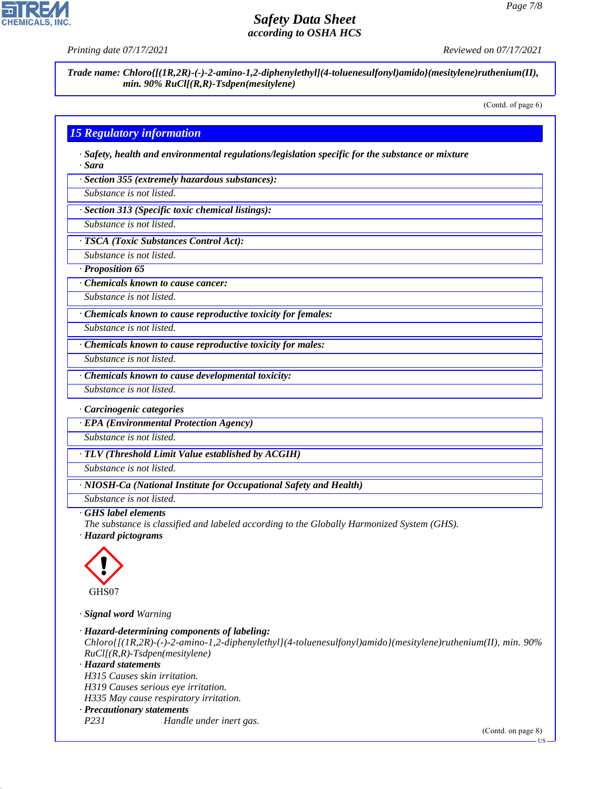

**CHEMICALS** 

*Printing date 07/17/2021 Reviewed on 07/17/2021*

*Trade name: Chloro{[(1R,2R)-(-)-2-amino-1,2-diphenylethyl](4-toluenesulfonyl)amido}(mesitylene)ruthenium(II), min. 90% RuCl[(R,R)-Tsdpen(mesitylene)*

(Contd. of page 6)

### *15 Regulatory information*

*· Safety, health and environmental regulations/legislation specific for the substance or mixture · Sara*

*· Section 355 (extremely hazardous substances):*

*Substance is not listed.*

*· Section 313 (Specific toxic chemical listings):*

*Substance is not listed.*

*· TSCA (Toxic Substances Control Act):*

*Substance is not listed.*

*· Proposition 65*

*· Chemicals known to cause cancer:*

*Substance is not listed.*

*· Chemicals known to cause reproductive toxicity for females:*

*Substance is not listed.*

*Substance is not listed.*

*· Chemicals known to cause reproductive toxicity for males:*

*· Chemicals known to cause developmental toxicity:*

*Substance is not listed.*

*· Carcinogenic categories*

*· EPA (Environmental Protection Agency)*

*Substance is not listed.*

*· TLV (Threshold Limit Value established by ACGIH)*

*Substance is not listed.*

*· NIOSH-Ca (National Institute for Occupational Safety and Health)*

*Substance is not listed.*

#### *· GHS label elements*

*The substance is classified and labeled according to the Globally Harmonized System (GHS).*

*· Hazard pictograms*



44.1.1

*· Signal word Warning*

*· Hazard-determining components of labeling: Chloro{[(1R,2R)-(-)-2-amino-1,2-diphenylethyl](4-toluenesulfonyl)amido}(mesitylene)ruthenium(II), min. 90% RuCl[(R,R)-Tsdpen(mesitylene) · Hazard statements H315 Causes skin irritation. H319 Causes serious eye irritation. H335 May cause respiratory irritation. · Precautionary statements P231 Handle under inert gas.* (Contd. on page 8)